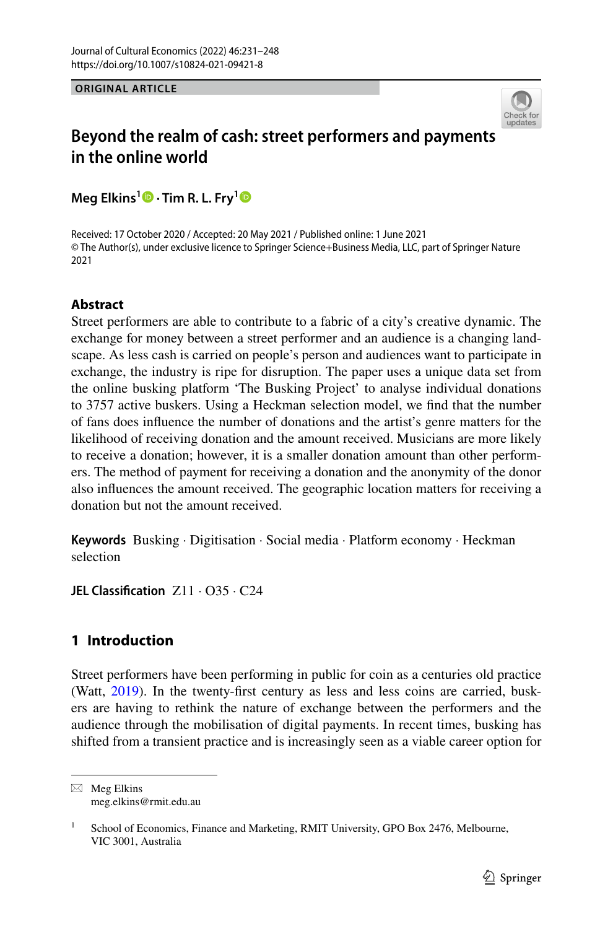**ORIGINAL ARTICLE**



# **Beyond the realm of cash: street performers and payments in the online world**

**Meg Elkins1 · Tim R. L. Fry[1](http://orcid.org/0000-0002-3763-5152)**

Received: 17 October 2020 / Accepted: 20 May 2021 / Published online: 1 June 2021 © The Author(s), under exclusive licence to Springer Science+Business Media, LLC, part of Springer Nature 2021

# **Abstract**

Street performers are able to contribute to a fabric of a city's creative dynamic. The exchange for money between a street performer and an audience is a changing landscape. As less cash is carried on people's person and audiences want to participate in exchange, the industry is ripe for disruption. The paper uses a unique data set from the online busking platform 'The Busking Project' to analyse individual donations to 3757 active buskers. Using a Heckman selection model, we fnd that the number of fans does infuence the number of donations and the artist's genre matters for the likelihood of receiving donation and the amount received. Musicians are more likely to receive a donation; however, it is a smaller donation amount than other performers. The method of payment for receiving a donation and the anonymity of the donor also infuences the amount received. The geographic location matters for receiving a donation but not the amount received.

**Keywords** Busking · Digitisation · Social media · Platform economy · Heckman selection

**JEL Classifcation** Z11 · O35 · C24

# **1 Introduction**

Street performers have been performing in public for coin as a centuries old practice (Watt, [2019\)](#page-17-0). In the twenty-first century as less and less coins are carried, buskers are having to rethink the nature of exchange between the performers and the audience through the mobilisation of digital payments. In recent times, busking has shifted from a transient practice and is increasingly seen as a viable career option for

 $\boxtimes$  Meg Elkins meg.elkins@rmit.edu.au

<sup>&</sup>lt;sup>1</sup> School of Economics, Finance and Marketing, RMIT University, GPO Box 2476, Melbourne, VIC 3001, Australia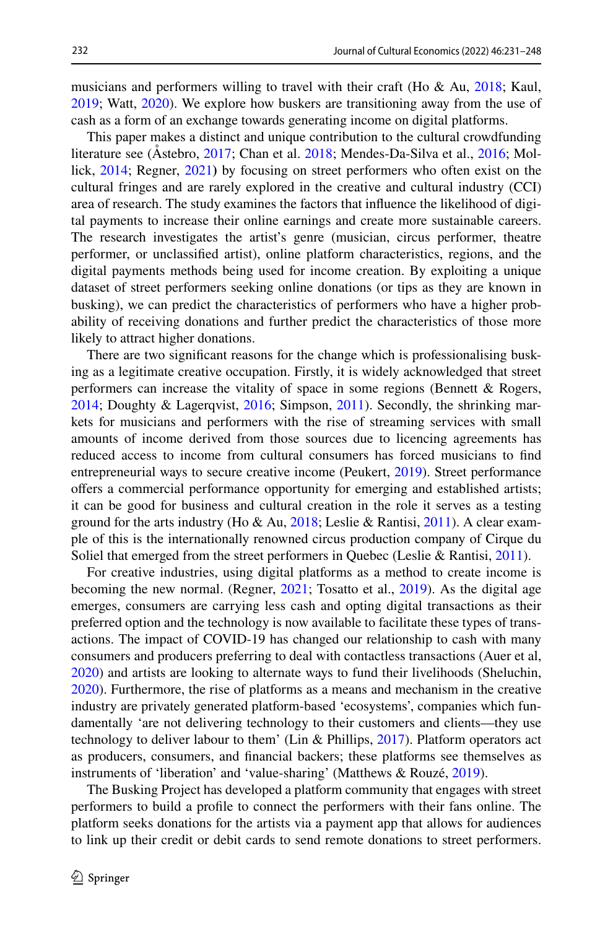musicians and performers willing to travel with their craft (Ho  $\&$  Au,  $2018$ ; Kaul, [2019](#page-16-0); Watt, [2020](#page-17-1)). We explore how buskers are transitioning away from the use of cash as a form of an exchange towards generating income on digital platforms.

This paper makes a distinct and unique contribution to the cultural crowdfunding literature see (Åstebro, [2017](#page-15-1); Chan et al. [2018;](#page-15-2) Mendes-Da-Silva et al., [2016;](#page-16-1) Mollick, [2014;](#page-16-2) Regner, [2021](#page-16-3)**)** by focusing on street performers who often exist on the cultural fringes and are rarely explored in the creative and cultural industry (CCI) area of research. The study examines the factors that infuence the likelihood of digital payments to increase their online earnings and create more sustainable careers. The research investigates the artist's genre (musician, circus performer, theatre performer, or unclassifed artist), online platform characteristics, regions, and the digital payments methods being used for income creation. By exploiting a unique dataset of street performers seeking online donations (or tips as they are known in busking), we can predict the characteristics of performers who have a higher probability of receiving donations and further predict the characteristics of those more likely to attract higher donations.

There are two signifcant reasons for the change which is professionalising busking as a legitimate creative occupation. Firstly, it is widely acknowledged that street performers can increase the vitality of space in some regions (Bennett & Rogers, [2014](#page-15-3); Doughty & Lagerqvist, [2016;](#page-15-4) Simpson, [2011\)](#page-17-2). Secondly, the shrinking markets for musicians and performers with the rise of streaming services with small amounts of income derived from those sources due to licencing agreements has reduced access to income from cultural consumers has forced musicians to fnd entrepreneurial ways to secure creative income (Peukert, [2019\)](#page-16-4). Street performance ofers a commercial performance opportunity for emerging and established artists; it can be good for business and cultural creation in the role it serves as a testing ground for the arts industry (Ho & Au, [2018](#page-15-0); Leslie & Rantisi, [2011\)](#page-16-5). A clear example of this is the internationally renowned circus production company of Cirque du Soliel that emerged from the street performers in Quebec (Leslie & Rantisi, [2011](#page-16-5)).

For creative industries, using digital platforms as a method to create income is becoming the new normal. (Regner, [2021](#page-16-3); Tosatto et al., [2019](#page-17-3)). As the digital age emerges, consumers are carrying less cash and opting digital transactions as their preferred option and the technology is now available to facilitate these types of transactions. The impact of COVID-19 has changed our relationship to cash with many consumers and producers preferring to deal with contactless transactions (Auer et al, [2020](#page-15-5)) and artists are looking to alternate ways to fund their livelihoods (Sheluchin, [2020](#page-16-6)). Furthermore, the rise of platforms as a means and mechanism in the creative industry are privately generated platform-based 'ecosystems', companies which fundamentally 'are not delivering technology to their customers and clients—they use technology to deliver labour to them' (Lin & Phillips, [2017](#page-16-7)). Platform operators act as producers, consumers, and fnancial backers; these platforms see themselves as instruments of 'liberation' and 'value-sharing' (Matthews & Rouzé, [2019](#page-16-8)).

The Busking Project has developed a platform community that engages with street performers to build a profle to connect the performers with their fans online. The platform seeks donations for the artists via a payment app that allows for audiences to link up their credit or debit cards to send remote donations to street performers.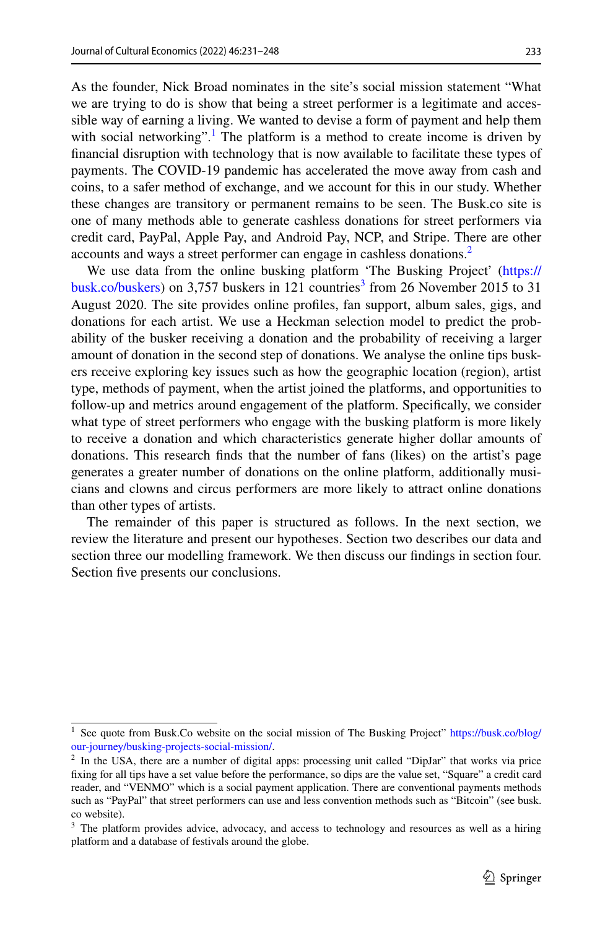As the founder, Nick Broad nominates in the site's social mission statement "What we are trying to do is show that being a street performer is a legitimate and accessible way of earning a living. We wanted to devise a form of payment and help them with social networking".<sup>[1](#page-2-0)</sup> The platform is a method to create income is driven by fnancial disruption with technology that is now available to facilitate these types of payments. The COVID-19 pandemic has accelerated the move away from cash and coins, to a safer method of exchange, and we account for this in our study. Whether these changes are transitory or permanent remains to be seen. The Busk.co site is one of many methods able to generate cashless donations for street performers via credit card, PayPal, Apple Pay, and Android Pay, NCP, and Stripe. There are other accounts and ways a street performer can engage in cashless donations.<sup>2</sup>

We use data from the online busking platform 'The Busking Project' ([https://](https://busk.co/buskers) [busk.co/buskers](https://busk.co/buskers)) on [3](#page-2-2),757 buskers in 121 countries<sup>3</sup> from 26 November 2015 to 31 August 2020. The site provides online profles, fan support, album sales, gigs, and donations for each artist. We use a Heckman selection model to predict the probability of the busker receiving a donation and the probability of receiving a larger amount of donation in the second step of donations. We analyse the online tips buskers receive exploring key issues such as how the geographic location (region), artist type, methods of payment, when the artist joined the platforms, and opportunities to follow-up and metrics around engagement of the platform. Specifcally, we consider what type of street performers who engage with the busking platform is more likely to receive a donation and which characteristics generate higher dollar amounts of donations. This research fnds that the number of fans (likes) on the artist's page generates a greater number of donations on the online platform, additionally musicians and clowns and circus performers are more likely to attract online donations than other types of artists.

The remainder of this paper is structured as follows. In the next section, we review the literature and present our hypotheses. Section two describes our data and section three our modelling framework. We then discuss our fndings in section four. Section five presents our conclusions.

<span id="page-2-0"></span><sup>&</sup>lt;sup>1</sup> See quote from Busk.Co website on the social mission of The Busking Project" [https://busk.co/blog/](https://busk.co/blog/our-journey/busking-projects-social-mission/) [our-journey/busking-projects-social-mission/](https://busk.co/blog/our-journey/busking-projects-social-mission/).

<span id="page-2-1"></span><sup>&</sup>lt;sup>2</sup> In the USA, there are a number of digital apps: processing unit called "DipJar" that works via price fxing for all tips have a set value before the performance, so dips are the value set, "Square" a credit card reader, and "VENMO" which is a social payment application. There are conventional payments methods such as "PayPal" that street performers can use and less convention methods such as "Bitcoin" (see busk. co website).

<span id="page-2-2"></span><sup>&</sup>lt;sup>3</sup> The platform provides advice, advocacy, and access to technology and resources as well as a hiring platform and a database of festivals around the globe.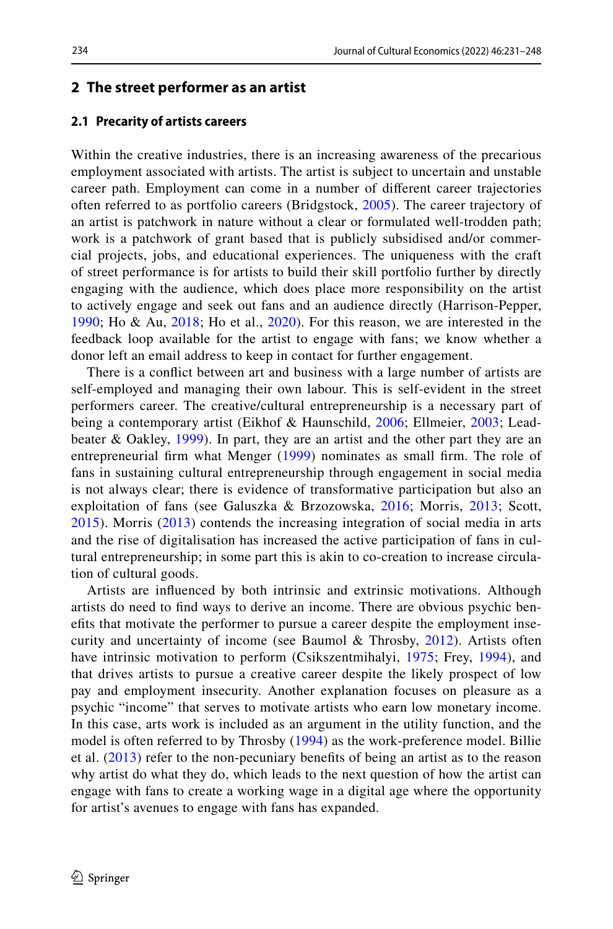### **2 The street performer as an artist**

### **2.1 Precarity of artists careers**

Within the creative industries, there is an increasing awareness of the precarious employment associated with artists. The artist is subject to uncertain and unstable career path. Employment can come in a number of diferent career trajectories often referred to as portfolio careers (Bridgstock, [2005](#page-15-6)). The career trajectory of an artist is patchwork in nature without a clear or formulated well-trodden path; work is a patchwork of grant based that is publicly subsidised and/or commercial projects, jobs, and educational experiences. The uniqueness with the craft of street performance is for artists to build their skill portfolio further by directly engaging with the audience, which does place more responsibility on the artist to actively engage and seek out fans and an audience directly (Harrison-Pepper, [1990;](#page-15-7) Ho & Au, [2018](#page-15-0); Ho et al., [2020](#page-15-8)). For this reason, we are interested in the feedback loop available for the artist to engage with fans; we know whether a donor left an email address to keep in contact for further engagement.

There is a confict between art and business with a large number of artists are self-employed and managing their own labour. This is self-evident in the street performers career. The creative/cultural entrepreneurship is a necessary part of being a contemporary artist (Eikhof & Haunschild, [2006;](#page-15-9) Ellmeier, [2003](#page-15-10); Leadbeater & Oakley, [1999](#page-16-9)). In part, they are an artist and the other part they are an entrepreneurial frm what Menger [\(1999\)](#page-16-10) nominates as small frm. The role of fans in sustaining cultural entrepreneurship through engagement in social media is not always clear; there is evidence of transformative participation but also an exploitation of fans (see Galuszka & Brzozowska, [2016;](#page-15-11) Morris, [2013](#page-16-11); Scott, [2015\)](#page-16-12). Morris [\(2013\)](#page-16-11) contends the increasing integration of social media in arts and the rise of digitalisation has increased the active participation of fans in cultural entrepreneurship; in some part this is akin to co-creation to increase circulation of cultural goods.

Artists are infuenced by both intrinsic and extrinsic motivations. Although artists do need to fnd ways to derive an income. There are obvious psychic benefts that motivate the performer to pursue a career despite the employment insecurity and uncertainty of income (see Baumol & Throsby, [2012](#page-15-12)). Artists often have intrinsic motivation to perform (Csikszentmihalyi, [1975;](#page-15-13) Frey, [1994\)](#page-15-14), and that drives artists to pursue a creative career despite the likely prospect of low pay and employment insecurity. Another explanation focuses on pleasure as a psychic "income" that serves to motivate artists who earn low monetary income. In this case, arts work is included as an argument in the utility function, and the model is often referred to by Throsby [\(1994\)](#page-17-4) as the work-preference model. Billie et al. ([2013](#page-15-15)) refer to the non‐pecuniary benefts of being an artist as to the reason why artist do what they do, which leads to the next question of how the artist can engage with fans to create a working wage in a digital age where the opportunity for artist's avenues to engage with fans has expanded.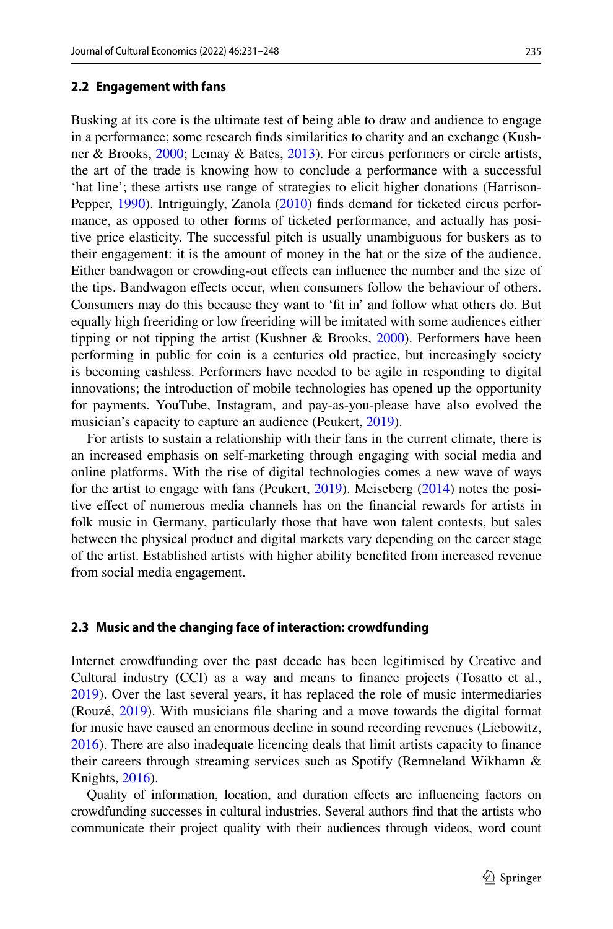### **2.2 Engagement with fans**

Busking at its core is the ultimate test of being able to draw and audience to engage in a performance; some research fnds similarities to charity and an exchange (Kushner & Brooks, [2000;](#page-16-13) Lemay & Bates, [2013](#page-16-14)). For circus performers or circle artists, the art of the trade is knowing how to conclude a performance with a successful 'hat line'; these artists use range of strategies to elicit higher donations (Harrison-Pepper, [1990](#page-15-7)). Intriguingly, Zanola ([2010\)](#page-17-5) fnds demand for ticketed circus performance, as opposed to other forms of ticketed performance, and actually has positive price elasticity. The successful pitch is usually unambiguous for buskers as to their engagement: it is the amount of money in the hat or the size of the audience. Either bandwagon or crowding-out efects can infuence the number and the size of the tips. Bandwagon efects occur, when consumers follow the behaviour of others. Consumers may do this because they want to 'ft in' and follow what others do. But equally high freeriding or low freeriding will be imitated with some audiences either tipping or not tipping the artist (Kushner & Brooks, [2000](#page-16-13)). Performers have been performing in public for coin is a centuries old practice, but increasingly society is becoming cashless. Performers have needed to be agile in responding to digital innovations; the introduction of mobile technologies has opened up the opportunity for payments. YouTube, Instagram, and pay-as-you-please have also evolved the musician's capacity to capture an audience (Peukert, [2019\)](#page-16-4).

For artists to sustain a relationship with their fans in the current climate, there is an increased emphasis on self-marketing through engaging with social media and online platforms. With the rise of digital technologies comes a new wave of ways for the artist to engage with fans (Peukert, [2019](#page-16-4)). Meiseberg ([2014\)](#page-16-15) notes the positive efect of numerous media channels has on the fnancial rewards for artists in folk music in Germany, particularly those that have won talent contests, but sales between the physical product and digital markets vary depending on the career stage of the artist. Established artists with higher ability benefted from increased revenue from social media engagement.

### **2.3 Music and the changing face of interaction: crowdfunding**

Internet crowdfunding over the past decade has been legitimised by Creative and Cultural industry (CCI) as a way and means to fnance projects (Tosatto et al., [2019](#page-17-3)). Over the last several years, it has replaced the role of music intermediaries (Rouzé, [2019\)](#page-16-16). With musicians fle sharing and a move towards the digital format for music have caused an enormous decline in sound recording revenues (Liebowitz, [2016](#page-16-17)). There are also inadequate licencing deals that limit artists capacity to fnance their careers through streaming services such as Spotify (Remneland Wikhamn & Knights, [2016\)](#page-16-18).

Quality of information, location, and duration efects are infuencing factors on crowdfunding successes in cultural industries. Several authors fnd that the artists who communicate their project quality with their audiences through videos, word count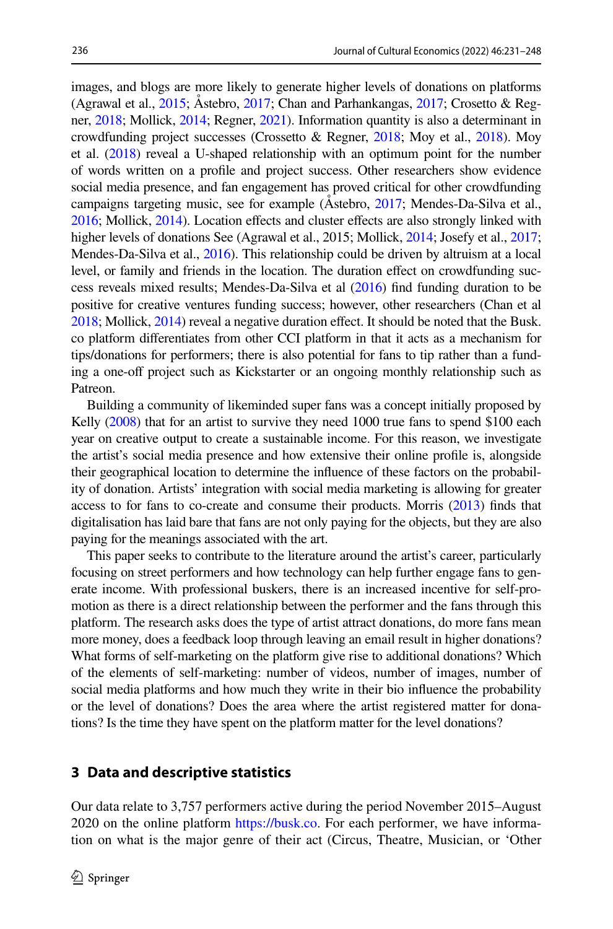images, and blogs are more likely to generate higher levels of donations on platforms (Agrawal et al., [2015](#page-14-0); Åstebro, [2017](#page-15-1); Chan and Parhankangas, [2017](#page-15-16); Crosetto & Regner, [2018;](#page-15-17) Mollick, [2014](#page-16-2); Regner, [2021\)](#page-16-3). Information quantity is also a determinant in crowdfunding project successes (Crossetto & Regner, [2018](#page-15-17); Moy et al., [2018\)](#page-16-19). Moy et al.  $(2018)$  reveal a U-shaped relationship with an optimum point for the number of words written on a profle and project success. Other researchers show evidence social media presence, and fan engagement has proved critical for other crowdfunding campaigns targeting music, see for example (Åstebro, [2017](#page-15-1); Mendes-Da-Silva et al., [2016](#page-16-1); Mollick, [2014\)](#page-16-2). Location efects and cluster efects are also strongly linked with higher levels of donations See (Agrawal et al., 2015; Mollick, [2014;](#page-16-2) Josefy et al., [2017;](#page-16-20) Mendes-Da-Silva et al., [2016](#page-16-1)). This relationship could be driven by altruism at a local level, or family and friends in the location. The duration efect on crowdfunding success reveals mixed results; Mendes-Da-Silva et al ([2016\)](#page-16-1) fnd funding duration to be positive for creative ventures funding success; however, other researchers (Chan et al [2018](#page-15-2); Mollick, [2014](#page-16-2)) reveal a negative duration efect. It should be noted that the Busk. co platform diferentiates from other CCI platform in that it acts as a mechanism for tips/donations for performers; there is also potential for fans to tip rather than a funding a one-off project such as Kickstarter or an ongoing monthly relationship such as Patreon.

Building a community of likeminded super fans was a concept initially proposed by Kelly [\(2008\)](#page-16-21) that for an artist to survive they need 1000 true fans to spend \$100 each year on creative output to create a sustainable income. For this reason, we investigate the artist's social media presence and how extensive their online profle is, alongside their geographical location to determine the infuence of these factors on the probability of donation. Artists' integration with social media marketing is allowing for greater access to for fans to co-create and consume their products. Morris [\(2013](#page-16-11)) fnds that digitalisation has laid bare that fans are not only paying for the objects, but they are also paying for the meanings associated with the art.

This paper seeks to contribute to the literature around the artist's career, particularly focusing on street performers and how technology can help further engage fans to generate income. With professional buskers, there is an increased incentive for self-promotion as there is a direct relationship between the performer and the fans through this platform. The research asks does the type of artist attract donations, do more fans mean more money, does a feedback loop through leaving an email result in higher donations? What forms of self-marketing on the platform give rise to additional donations? Which of the elements of self-marketing: number of videos, number of images, number of social media platforms and how much they write in their bio infuence the probability or the level of donations? Does the area where the artist registered matter for donations? Is the time they have spent on the platform matter for the level donations?

# **3 Data and descriptive statistics**

Our data relate to 3,757 performers active during the period November 2015–August 2020 on the online platform <https://busk.co>. For each performer, we have information on what is the major genre of their act (Circus, Theatre, Musician, or 'Other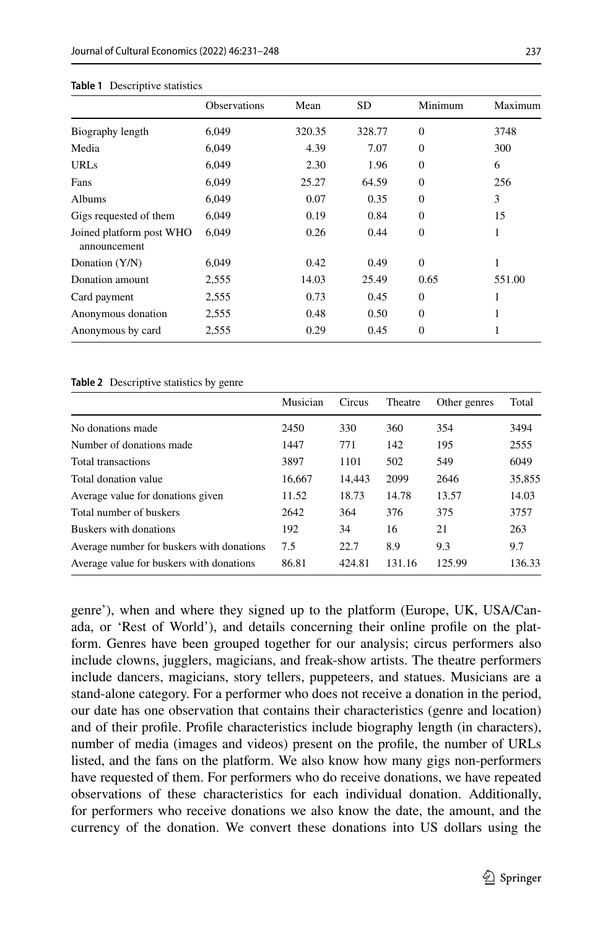|                                          | <b>Observations</b> | Mean   | <b>SD</b> | Minimum        | Maximum |
|------------------------------------------|---------------------|--------|-----------|----------------|---------|
| Biography length                         | 6,049               | 320.35 | 328.77    | $\theta$       | 3748    |
| Media                                    | 6.049               | 4.39   | 7.07      | $\mathbf{0}$   | 300     |
| <b>URLs</b>                              | 6,049               | 2.30   | 1.96      | $\mathbf{0}$   | 6       |
| Fans                                     | 6,049               | 25.27  | 64.59     | $\Omega$       | 256     |
| Albums                                   | 6,049               | 0.07   | 0.35      | $\Omega$       | 3       |
| Gigs requested of them                   | 6.049               | 0.19   | 0.84      | $\Omega$       | 15      |
| Joined platform post WHO<br>announcement | 6.049               | 0.26   | 0.44      | $\overline{0}$ | 1       |
| Donation (Y/N)                           | 6,049               | 0.42   | 0.49      | $\theta$       | 1       |
| Donation amount                          | 2,555               | 14.03  | 25.49     | 0.65           | 551.00  |
| Card payment                             | 2,555               | 0.73   | 0.45      | $\overline{0}$ | 1       |
| Anonymous donation                       | 2,555               | 0.48   | 0.50      | $\Omega$       | 1       |
| Anonymous by card                        | 2,555               | 0.29   | 0.45      | $\overline{0}$ | 1       |

#### <span id="page-6-0"></span>**Table 1** Descriptive statistics

#### <span id="page-6-1"></span>**Table 2** Descriptive statistics by genre

|                                           | Musician | Circus | Theatre | Other genres | Total  |
|-------------------------------------------|----------|--------|---------|--------------|--------|
| No donations made                         | 2450     | 330    | 360     | 354          | 3494   |
| Number of donations made                  | 1447     | 771    | 142     | 195          | 2555   |
| Total transactions                        | 3897     | 1101   | 502     | 549          | 6049   |
| Total donation value                      | 16,667   | 14.443 | 2099    | 2646         | 35,855 |
| Average value for donations given         | 11.52    | 18.73  | 14.78   | 13.57        | 14.03  |
| Total number of buskers                   | 2642     | 364    | 376     | 375          | 3757   |
| Buskers with donations                    | 192      | 34     | 16      | 21           | 263    |
| Average number for buskers with donations | 7.5      | 22.7   | 8.9     | 9.3          | 9.7    |
| Average value for buskers with donations  | 86.81    | 424.81 | 131.16  | 125.99       | 136.33 |

genre'), when and where they signed up to the platform (Europe, UK, USA/Canada, or 'Rest of World'), and details concerning their online profle on the platform. Genres have been grouped together for our analysis; circus performers also include clowns, jugglers, magicians, and freak-show artists. The theatre performers include dancers, magicians, story tellers, puppeteers, and statues. Musicians are a stand-alone category. For a performer who does not receive a donation in the period, our date has one observation that contains their characteristics (genre and location) and of their profle. Profle characteristics include biography length (in characters), number of media (images and videos) present on the profle, the number of URLs listed, and the fans on the platform. We also know how many gigs non-performers have requested of them. For performers who do receive donations, we have repeated observations of these characteristics for each individual donation. Additionally, for performers who receive donations we also know the date, the amount, and the currency of the donation. We convert these donations into US dollars using the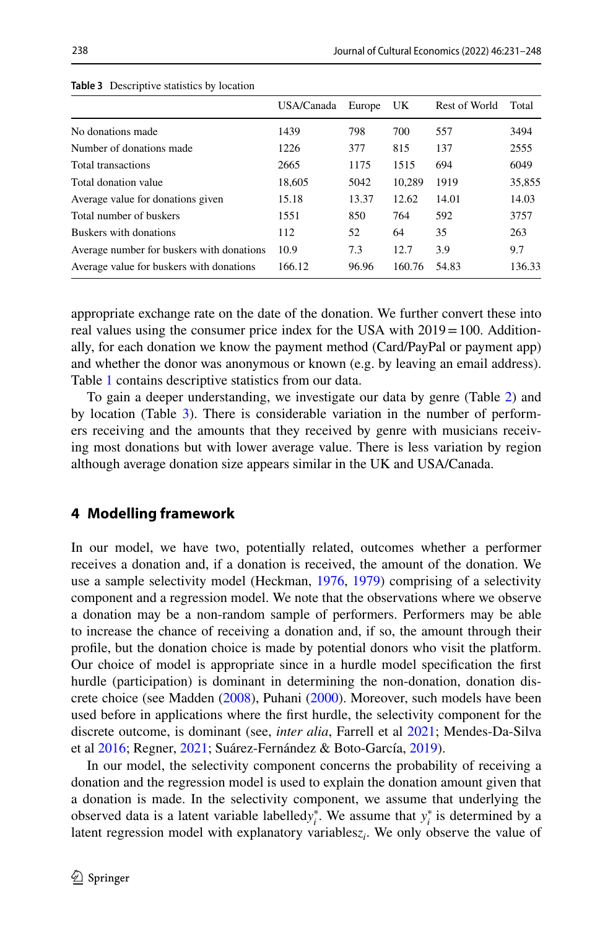|                                           | USA/Canada | Europe | UK     | Rest of World | Total  |
|-------------------------------------------|------------|--------|--------|---------------|--------|
| No donations made                         | 1439       | 798    | 700    | 557           | 3494   |
| Number of donations made                  | 1226       | 377    | 815    | 137           | 2555   |
| Total transactions                        | 2665       | 1175   | 1515   | 694           | 6049   |
| Total donation value                      | 18.605     | 5042   | 10,289 | 1919          | 35,855 |
| Average value for donations given         | 15.18      | 13.37  | 12.62  | 14.01         | 14.03  |
| Total number of buskers                   | 1551       | 850    | 764    | 592           | 3757   |
| Buskers with donations                    | 112        | 52     | 64     | 35            | 263    |
| Average number for buskers with donations | 10.9       | 7.3    | 12.7   | 3.9           | 9.7    |
| Average value for buskers with donations  | 166.12     | 96.96  | 160.76 | 54.83         | 136.33 |

<span id="page-7-0"></span>**Table 3** Descriptive statistics by location

appropriate exchange rate on the date of the donation. We further convert these into real values using the consumer price index for the USA with  $2019 = 100$ . Additionally, for each donation we know the payment method (Card/PayPal or payment app) and whether the donor was anonymous or known (e.g. by leaving an email address). Table [1](#page-6-0) contains descriptive statistics from our data.

To gain a deeper understanding, we investigate our data by genre (Table [2](#page-6-1)) and by location (Table [3\)](#page-7-0). There is considerable variation in the number of performers receiving and the amounts that they received by genre with musicians receiving most donations but with lower average value. There is less variation by region although average donation size appears similar in the UK and USA/Canada.

# **4 Modelling framework**

In our model, we have two, potentially related, outcomes whether a performer receives a donation and, if a donation is received, the amount of the donation. We use a sample selectivity model (Heckman, [1976,](#page-15-18) [1979\)](#page-15-19) comprising of a selectivity component and a regression model. We note that the observations where we observe a donation may be a non-random sample of performers. Performers may be able to increase the chance of receiving a donation and, if so, the amount through their profle, but the donation choice is made by potential donors who visit the platform. Our choice of model is appropriate since in a hurdle model specifcation the frst hurdle (participation) is dominant in determining the non-donation, donation discrete choice (see Madden ([2008\)](#page-16-22), Puhani ([2000\)](#page-16-23). Moreover, such models have been used before in applications where the frst hurdle, the selectivity component for the discrete outcome, is dominant (see, *inter alia*, Farrell et al [2021](#page-15-20); Mendes-Da-Silva et al [2016](#page-16-1); Regner, [2021](#page-16-3); Suárez-Fernández & Boto-García, [2019\)](#page-17-6).

In our model, the selectivity component concerns the probability of receiving a donation and the regression model is used to explain the donation amount given that a donation is made. In the selectivity component, we assume that underlying the observed data is a latent variable labelled $y_i^*$ . We assume that  $y_i^*$  is determined by a latent regression model with explanatory variablesz<sub>i</sub>. We only observe the value of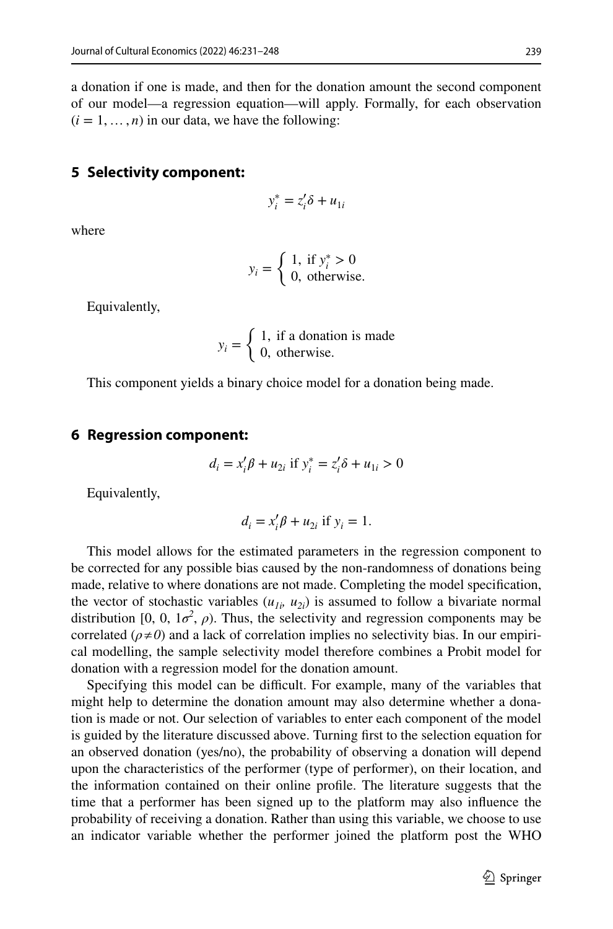a donation if one is made, and then for the donation amount the second component of our model—a regression equation—will apply. Formally, for each observation  $(i = 1, \ldots, n)$  in our data, we have the following:

# **5 Selectivity component:**

$$
y_i^* = z_i' \delta + u_{1i}
$$

where

$$
y_i = \begin{cases} 1, & \text{if } y_i^* > 0 \\ 0, & \text{otherwise.} \end{cases}
$$

Equivalently,

$$
y_i = \begin{cases} 1, & \text{if a donation is made} \\ 0, & \text{otherwise.} \end{cases}
$$

This component yields a binary choice model for a donation being made.

## **6 Regression component:**

$$
d_i = x_i' \beta + u_{2i} \text{ if } y_i^* = z_i' \delta + u_{1i} > 0
$$

Equivalently,

$$
d_i = x_i' \beta + u_{2i} \text{ if } y_i = 1.
$$

This model allows for the estimated parameters in the regression component to be corrected for any possible bias caused by the non-randomness of donations being made, relative to where donations are not made. Completing the model specifcation, the vector of stochastic variables  $(u_{1i}, u_{2i})$  is assumed to follow a bivariate normal distribution [0, 0,  $1\sigma^2$ ,  $\rho$ ). Thus, the selectivity and regression components may be correlated ( $\rho \neq 0$ ) and a lack of correlation implies no selectivity bias. In our empirical modelling, the sample selectivity model therefore combines a Probit model for donation with a regression model for the donation amount.

Specifying this model can be difficult. For example, many of the variables that might help to determine the donation amount may also determine whether a donation is made or not. Our selection of variables to enter each component of the model is guided by the literature discussed above. Turning frst to the selection equation for an observed donation (yes/no), the probability of observing a donation will depend upon the characteristics of the performer (type of performer), on their location, and the information contained on their online profle. The literature suggests that the time that a performer has been signed up to the platform may also infuence the probability of receiving a donation. Rather than using this variable, we choose to use an indicator variable whether the performer joined the platform post the WHO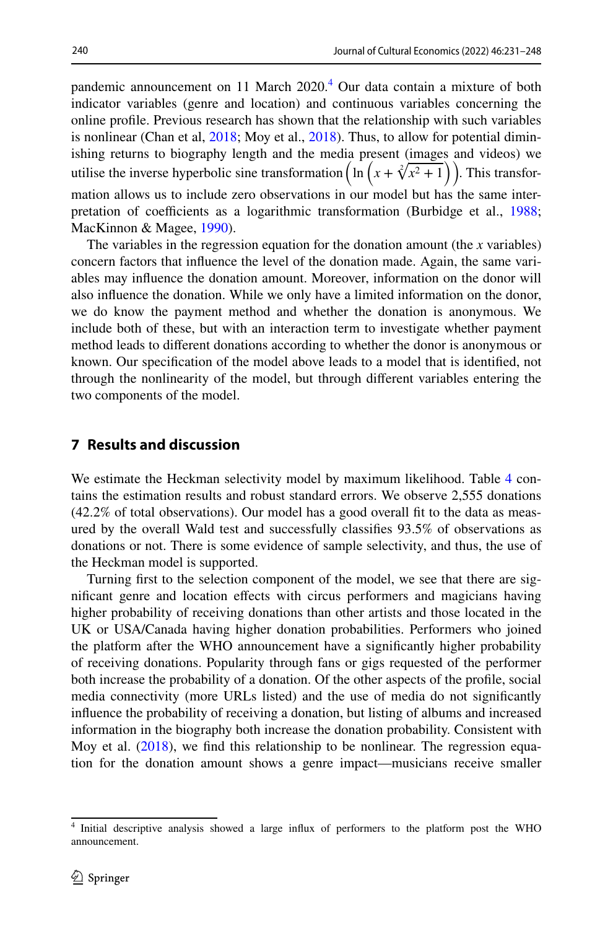pandemic announcement on 11 March 2020.<sup>4</sup> Our data contain a mixture of both indicator variables (genre and location) and continuous variables concerning the online profle. Previous research has shown that the relationship with such variables is nonlinear (Chan et al,  $2018$ ; Moy et al.,  $2018$ ). Thus, to allow for potential diminishing returns to biography length and the media present (images and videos) we utilise the inverse hyperbolic sine transformation  $\left(\ln\left(x + \sqrt[2]{x^2 + 1}\right)\right)$ . This transformation allows us to include zero observations in our model but has the same inter-pretation of coefficients as a logarithmic transformation (Burbidge et al., [1988;](#page-15-21) MacKinnon & Magee, [1990\)](#page-16-24).

The variables in the regression equation for the donation amount (the *x* variables) concern factors that infuence the level of the donation made. Again, the same variables may infuence the donation amount. Moreover, information on the donor will also infuence the donation. While we only have a limited information on the donor, we do know the payment method and whether the donation is anonymous. We include both of these, but with an interaction term to investigate whether payment method leads to diferent donations according to whether the donor is anonymous or known. Our specifcation of the model above leads to a model that is identifed, not through the nonlinearity of the model, but through diferent variables entering the two components of the model.

# **7 Results and discussion**

We estimate the Heckman selectivity model by maximum likelihood. Table [4](#page-10-0) contains the estimation results and robust standard errors. We observe 2,555 donations (42.2% of total observations). Our model has a good overall ft to the data as measured by the overall Wald test and successfully classifes 93.5% of observations as donations or not. There is some evidence of sample selectivity, and thus, the use of the Heckman model is supported.

Turning frst to the selection component of the model, we see that there are signifcant genre and location efects with circus performers and magicians having higher probability of receiving donations than other artists and those located in the UK or USA/Canada having higher donation probabilities. Performers who joined the platform after the WHO announcement have a signifcantly higher probability of receiving donations. Popularity through fans or gigs requested of the performer both increase the probability of a donation. Of the other aspects of the profle, social media connectivity (more URLs listed) and the use of media do not signifcantly infuence the probability of receiving a donation, but listing of albums and increased information in the biography both increase the donation probability. Consistent with Moy et al. ([2018\)](#page-16-19), we fnd this relationship to be nonlinear. The regression equation for the donation amount shows a genre impact—musicians receive smaller

<span id="page-9-0"></span><sup>&</sup>lt;sup>4</sup> Initial descriptive analysis showed a large influx of performers to the platform post the WHO announcement.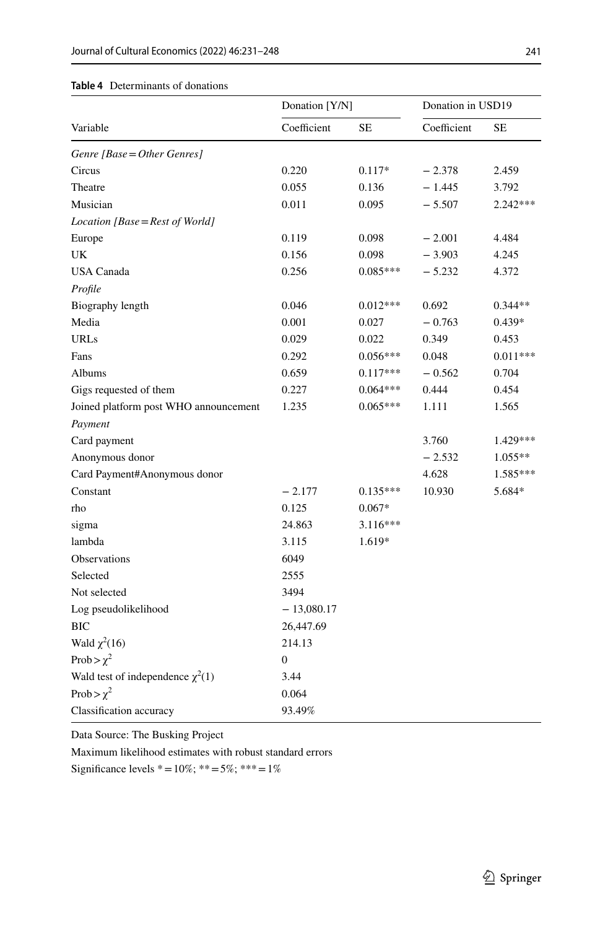<span id="page-10-0"></span>

|                                       | Donation [Y/N]   |            | Donation in USD19 |            |  |
|---------------------------------------|------------------|------------|-------------------|------------|--|
| Variable                              | Coefficient      | <b>SE</b>  | Coefficient       | SЕ         |  |
| Genre [Base = Other Genres]           |                  |            |                   |            |  |
| Circus                                | 0.220            | $0.117*$   | $-2.378$          | 2.459      |  |
| Theatre                               | 0.055            | 0.136      | $-1.445$          | 3.792      |  |
| Musician                              | 0.011            | 0.095      | $-5.507$          | $2.242***$ |  |
| Location [Base = Rest of World]       |                  |            |                   |            |  |
| Europe                                | 0.119            | 0.098      | $-2.001$          | 4.484      |  |
| UK                                    | 0.156            | 0.098      | $-3.903$          | 4.245      |  |
| <b>USA Canada</b>                     | 0.256            | $0.085***$ | $-5.232$          | 4.372      |  |
| Profile                               |                  |            |                   |            |  |
| Biography length                      | 0.046            | $0.012***$ | 0.692             | $0.344**$  |  |
| Media                                 | 0.001            | 0.027      | $-0.763$          | $0.439*$   |  |
| <b>URLs</b>                           | 0.029            | 0.022      | 0.349             | 0.453      |  |
| Fans                                  | 0.292            | $0.056***$ | 0.048             | $0.011***$ |  |
| Albums                                | 0.659            | $0.117***$ | $-0.562$          | 0.704      |  |
| Gigs requested of them                | 0.227            | $0.064***$ | 0.444             | 0.454      |  |
| Joined platform post WHO announcement | 1.235            | $0.065***$ | 1.111             | 1.565      |  |
| Payment                               |                  |            |                   |            |  |
| Card payment                          |                  |            | 3.760             | 1.429***   |  |
| Anonymous donor                       |                  |            | $-2.532$          | $1.055**$  |  |
| Card Payment#Anonymous donor          |                  |            | 4.628             | 1.585***   |  |
| Constant                              | $-2.177$         | $0.135***$ | 10.930            | 5.684*     |  |
| rho                                   | 0.125            | $0.067*$   |                   |            |  |
| sigma                                 | 24.863           | $3.116***$ |                   |            |  |
| lambda                                | 3.115            | 1.619*     |                   |            |  |
| Observations                          | 6049             |            |                   |            |  |
| Selected                              | 2555             |            |                   |            |  |
| Not selected                          | 3494             |            |                   |            |  |
| Log pseudolikelihood                  | $-13,080.17$     |            |                   |            |  |
| <b>BIC</b>                            | 26,447.69        |            |                   |            |  |
| Wald $\chi^2(16)$                     | 214.13           |            |                   |            |  |
| Prob > $\chi^2$                       | $\boldsymbol{0}$ |            |                   |            |  |
| Wald test of independence $\chi^2(1)$ | 3.44             |            |                   |            |  |
| Prob > $\chi^2$                       | 0.064            |            |                   |            |  |
| Classification accuracy               | 93.49%           |            |                   |            |  |

Data Source: The Busking Project

Maximum likelihood estimates with robust standard errors

Significance levels  $* = 10\%; ** = 5\%; ** = 1\%$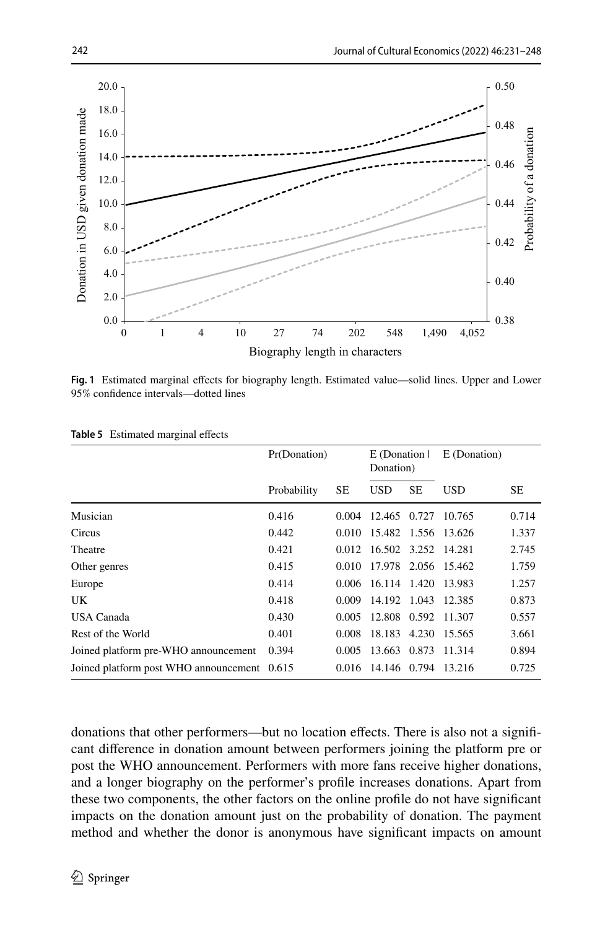

<span id="page-11-0"></span>**Fig. 1** Estimated marginal efects for biography length. Estimated value—solid lines. Upper and Lower 95% confdence intervals—dotted lines

|                                             | Pr(Donation) |       | E (Donation I)<br>Donation) |           | E (Donation) |           |
|---------------------------------------------|--------------|-------|-----------------------------|-----------|--------------|-----------|
|                                             | Probability  | SЕ    | <b>USD</b>                  | <b>SE</b> | <b>USD</b>   | <b>SE</b> |
| Musician                                    | 0.416        | 0.004 | 12.465 0.727                |           | 10.765       | 0.714     |
| Circus                                      | 0.442        | 0.010 | 15.482 1.556 13.626         |           |              | 1.337     |
| Theatre                                     | 0.421        | 0.012 | 16.502 3.252 14.281         |           |              | 2.745     |
| Other genres                                | 0.415        | 0.010 | 17.978 2.056 15.462         |           |              | 1.759     |
| Europe                                      | 0.414        | 0.006 | 16.114 1.420 13.983         |           |              | 1.257     |
| UK                                          | 0.418        | 0.009 | 14.192 1.043                |           | 12.385       | 0.873     |
| USA Canada                                  | 0.430        | 0.005 | 12.808 0.592 11.307         |           |              | 0.557     |
| Rest of the World                           | 0.401        | 0.008 | 18.183                      | 4.230     | 15.565       | 3.661     |
| Joined platform pre-WHO announcement        | 0.394        | 0.005 | 13.663 0.873                |           | 11.314       | 0.894     |
| Joined platform post WHO announcement 0.615 |              | 0.016 | 14.146 0.794                |           | 13.216       | 0.725     |

<span id="page-11-1"></span>**Table 5** Estimated marginal effects

donations that other performers—but no location efects. There is also not a signifcant diference in donation amount between performers joining the platform pre or post the WHO announcement. Performers with more fans receive higher donations, and a longer biography on the performer's profle increases donations. Apart from these two components, the other factors on the online profle do not have signifcant impacts on the donation amount just on the probability of donation. The payment method and whether the donor is anonymous have signifcant impacts on amount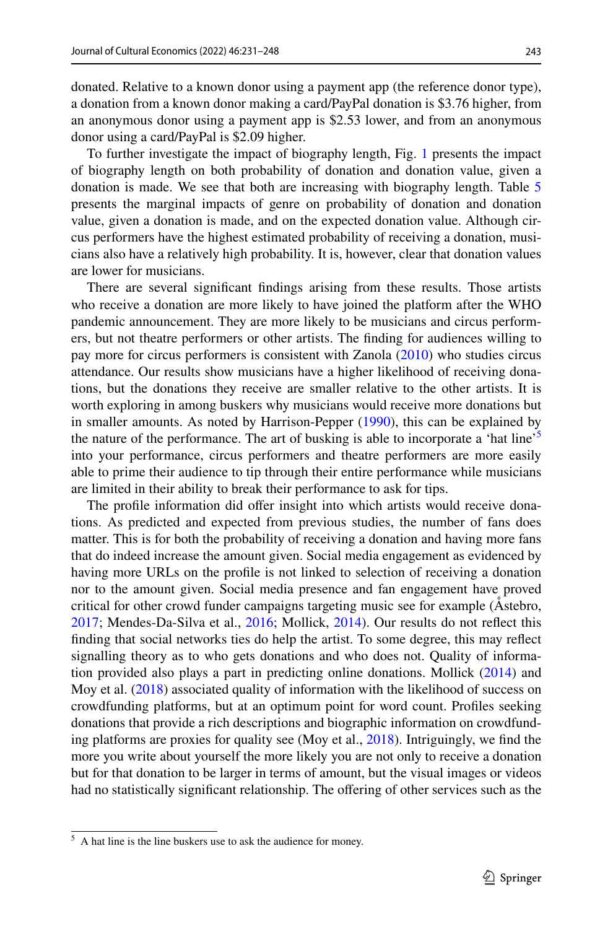donated. Relative to a known donor using a payment app (the reference donor type), a donation from a known donor making a card/PayPal donation is \$3.76 higher, from an anonymous donor using a payment app is \$2.53 lower, and from an anonymous donor using a card/PayPal is \$2.09 higher.

To further investigate the impact of biography length, Fig. [1](#page-11-0) presents the impact of biography length on both probability of donation and donation value, given a donation is made. We see that both are increasing with biography length. Table [5](#page-11-1) presents the marginal impacts of genre on probability of donation and donation value, given a donation is made, and on the expected donation value. Although circus performers have the highest estimated probability of receiving a donation, musicians also have a relatively high probability. It is, however, clear that donation values are lower for musicians.

There are several signifcant fndings arising from these results. Those artists who receive a donation are more likely to have joined the platform after the WHO pandemic announcement. They are more likely to be musicians and circus performers, but not theatre performers or other artists. The fnding for audiences willing to pay more for circus performers is consistent with Zanola [\(2010](#page-17-5)) who studies circus attendance. Our results show musicians have a higher likelihood of receiving donations, but the donations they receive are smaller relative to the other artists. It is worth exploring in among buskers why musicians would receive more donations but in smaller amounts. As noted by Harrison-Pepper [\(1990](#page-15-7)), this can be explained by the nature of the performance. The art of busking is able to incorporate a 'hat line'<sup>[5](#page-12-0)</sup> into your performance, circus performers and theatre performers are more easily able to prime their audience to tip through their entire performance while musicians are limited in their ability to break their performance to ask for tips.

The profle information did ofer insight into which artists would receive donations. As predicted and expected from previous studies, the number of fans does matter. This is for both the probability of receiving a donation and having more fans that do indeed increase the amount given. Social media engagement as evidenced by having more URLs on the profle is not linked to selection of receiving a donation nor to the amount given. Social media presence and fan engagement have proved critical for other crowd funder campaigns targeting music see for example (Åstebro, [2017](#page-15-1); Mendes-Da-Silva et al., [2016](#page-16-1); Mollick, [2014](#page-16-2)). Our results do not refect this fnding that social networks ties do help the artist. To some degree, this may refect signalling theory as to who gets donations and who does not. Quality of information provided also plays a part in predicting online donations. Mollick [\(2014](#page-16-2)) and Moy et al. [\(2018](#page-16-19)) associated quality of information with the likelihood of success on crowdfunding platforms, but at an optimum point for word count. Profles seeking donations that provide a rich descriptions and biographic information on crowdfunding platforms are proxies for quality see (Moy et al., [2018\)](#page-16-19). Intriguingly, we fnd the more you write about yourself the more likely you are not only to receive a donation but for that donation to be larger in terms of amount, but the visual images or videos had no statistically significant relationship. The offering of other services such as the

<span id="page-12-0"></span><sup>5</sup> A hat line is the line buskers use to ask the audience for money.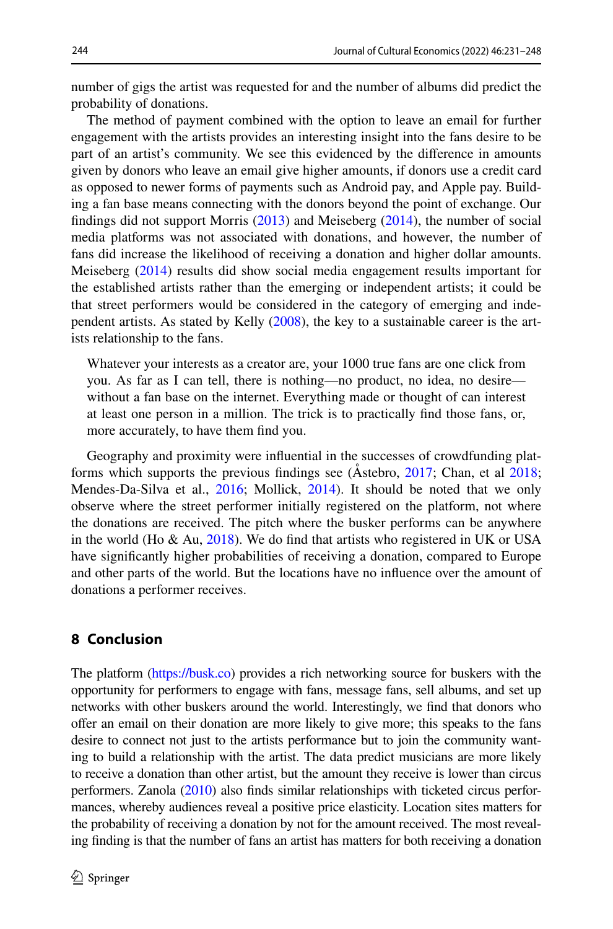number of gigs the artist was requested for and the number of albums did predict the probability of donations.

The method of payment combined with the option to leave an email for further engagement with the artists provides an interesting insight into the fans desire to be part of an artist's community. We see this evidenced by the diference in amounts given by donors who leave an email give higher amounts, if donors use a credit card as opposed to newer forms of payments such as Android pay, and Apple pay. Building a fan base means connecting with the donors beyond the point of exchange. Our fndings did not support Morris ([2013\)](#page-16-11) and Meiseberg [\(2014](#page-16-15)), the number of social media platforms was not associated with donations, and however, the number of fans did increase the likelihood of receiving a donation and higher dollar amounts. Meiseberg [\(2014](#page-16-15)) results did show social media engagement results important for the established artists rather than the emerging or independent artists; it could be that street performers would be considered in the category of emerging and independent artists. As stated by Kelly [\(2008](#page-16-21)), the key to a sustainable career is the artists relationship to the fans.

Whatever your interests as a creator are, your 1000 true fans are one click from you. As far as I can tell, there is nothing—no product, no idea, no desire without a fan base on the internet. Everything made or thought of can interest at least one person in a million. The trick is to practically fnd those fans, or, more accurately, to have them fnd you.

Geography and proximity were infuential in the successes of crowdfunding platforms which supports the previous fndings see (Åstebro, [2017](#page-15-1); Chan, et al [2018;](#page-15-2) Mendes-Da-Silva et al., [2016;](#page-16-1) Mollick, [2014\)](#page-16-2). It should be noted that we only observe where the street performer initially registered on the platform, not where the donations are received. The pitch where the busker performs can be anywhere in the world (Ho  $\&$  Au, [2018](#page-15-0)). We do find that artists who registered in UK or USA have signifcantly higher probabilities of receiving a donation, compared to Europe and other parts of the world. But the locations have no infuence over the amount of donations a performer receives.

# **8 Conclusion**

The platform [\(https://busk.co](https://busk.co)) provides a rich networking source for buskers with the opportunity for performers to engage with fans, message fans, sell albums, and set up networks with other buskers around the world. Interestingly, we fnd that donors who ofer an email on their donation are more likely to give more; this speaks to the fans desire to connect not just to the artists performance but to join the community wanting to build a relationship with the artist. The data predict musicians are more likely to receive a donation than other artist, but the amount they receive is lower than circus performers. Zanola [\(2010\)](#page-17-5) also fnds similar relationships with ticketed circus performances, whereby audiences reveal a positive price elasticity. Location sites matters for the probability of receiving a donation by not for the amount received. The most revealing fnding is that the number of fans an artist has matters for both receiving a donation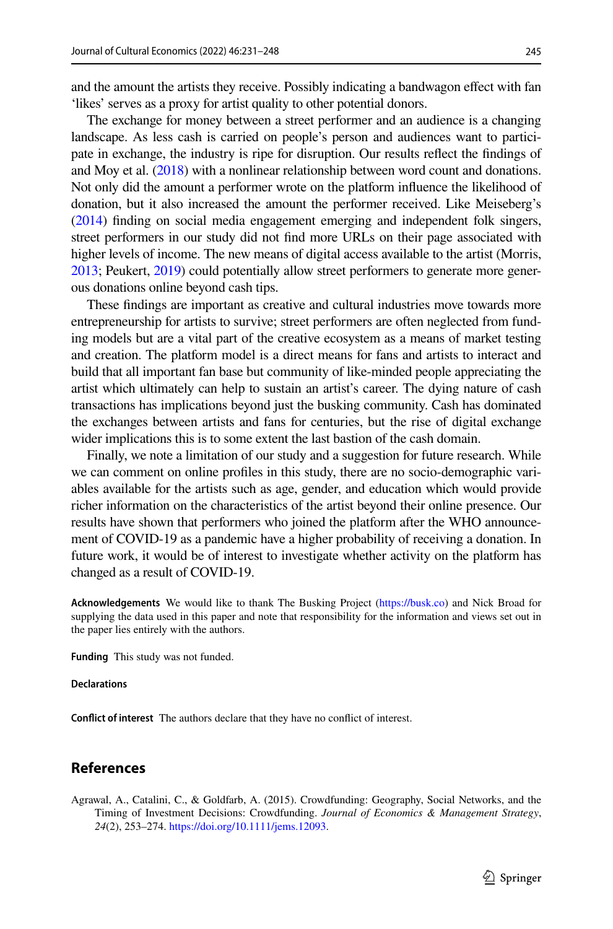and the amount the artists they receive. Possibly indicating a bandwagon efect with fan 'likes' serves as a proxy for artist quality to other potential donors.

The exchange for money between a street performer and an audience is a changing landscape. As less cash is carried on people's person and audiences want to participate in exchange, the industry is ripe for disruption. Our results refect the fndings of and Moy et al. [\(2018\)](#page-16-19) with a nonlinear relationship between word count and donations. Not only did the amount a performer wrote on the platform infuence the likelihood of donation, but it also increased the amount the performer received. Like Meiseberg's [\(2014\)](#page-16-15) fnding on social media engagement emerging and independent folk singers, street performers in our study did not fnd more URLs on their page associated with higher levels of income. The new means of digital access available to the artist (Morris, [2013](#page-16-11); Peukert, [2019\)](#page-16-4) could potentially allow street performers to generate more generous donations online beyond cash tips.

These fndings are important as creative and cultural industries move towards more entrepreneurship for artists to survive; street performers are often neglected from funding models but are a vital part of the creative ecosystem as a means of market testing and creation. The platform model is a direct means for fans and artists to interact and build that all important fan base but community of like-minded people appreciating the artist which ultimately can help to sustain an artist's career. The dying nature of cash transactions has implications beyond just the busking community. Cash has dominated the exchanges between artists and fans for centuries, but the rise of digital exchange wider implications this is to some extent the last bastion of the cash domain.

Finally, we note a limitation of our study and a suggestion for future research. While we can comment on online profles in this study, there are no socio-demographic variables available for the artists such as age, gender, and education which would provide richer information on the characteristics of the artist beyond their online presence. Our results have shown that performers who joined the platform after the WHO announcement of COVID-19 as a pandemic have a higher probability of receiving a donation. In future work, it would be of interest to investigate whether activity on the platform has changed as a result of COVID-19.

**Acknowledgements** We would like to thank The Busking Project [\(https://busk.co\)](https://busk.co) and Nick Broad for supplying the data used in this paper and note that responsibility for the information and views set out in the paper lies entirely with the authors.

**Funding** This study was not funded.

#### **Declarations**

**Confict of interest** The authors declare that they have no confict of interest.

### **References**

<span id="page-14-0"></span>Agrawal, A., Catalini, C., & Goldfarb, A. (2015). Crowdfunding: Geography, Social Networks, and the Timing of Investment Decisions: Crowdfunding. *Journal of Economics & Management Strategy*, *24*(2), 253–274. [https://doi.org/10.1111/jems.12093.](https://doi.org/10.1111/jems.12093)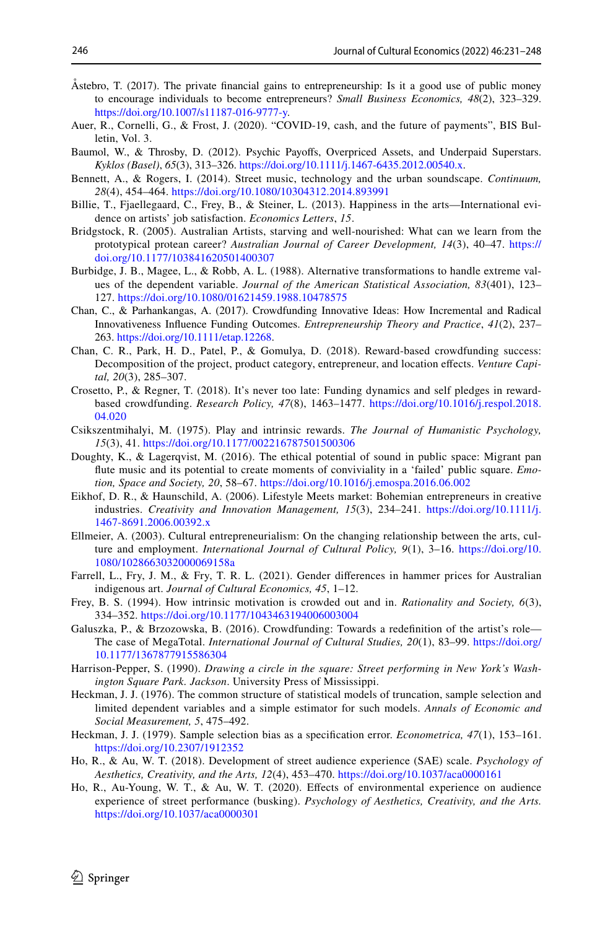- <span id="page-15-1"></span>Åstebro, T. (2017). The private fnancial gains to entrepreneurship: Is it a good use of public money to encourage individuals to become entrepreneurs? *Small Business Economics, 48*(2), 323–329. <https://doi.org/10.1007/s11187-016-9777-y>.
- <span id="page-15-5"></span>Auer, R., Cornelli, G., & Frost, J. (2020). "COVID-19, cash, and the future of payments", BIS Bulletin, Vol. 3.
- <span id="page-15-12"></span>Baumol, W., & Throsby, D. (2012). Psychic Payofs, Overpriced Assets, and Underpaid Superstars. *Kyklos (Basel)*, *65*(3), 313–326. <https://doi.org/10.1111/j.1467-6435.2012.00540.x>.
- <span id="page-15-3"></span>Bennett, A., & Rogers, I. (2014). Street music, technology and the urban soundscape. *Continuum, 28*(4), 454–464.<https://doi.org/10.1080/10304312.2014.893991>
- <span id="page-15-15"></span>Billie, T., Fjaellegaard, C., Frey, B., & Steiner, L. (2013). Happiness in the arts—International evidence on artists' job satisfaction. *Economics Letters*, *15*.
- <span id="page-15-6"></span>Bridgstock, R. (2005). Australian Artists, starving and well-nourished: What can we learn from the prototypical protean career? *Australian Journal of Career Development, 14*(3), 40–47. [https://](https://doi.org/10.1177/103841620501400307) [doi.org/10.1177/103841620501400307](https://doi.org/10.1177/103841620501400307)
- <span id="page-15-21"></span>Burbidge, J. B., Magee, L., & Robb, A. L. (1988). Alternative transformations to handle extreme values of the dependent variable. *Journal of the American Statistical Association, 83*(401), 123– 127. <https://doi.org/10.1080/01621459.1988.10478575>
- <span id="page-15-16"></span>Chan, C., & Parhankangas, A. (2017). Crowdfunding Innovative Ideas: How Incremental and Radical Innovativeness Infuence Funding Outcomes. *Entrepreneurship Theory and Practice*, *41*(2), 237– 263. [https://doi.org/10.1111/etap.12268.](https://doi.org/10.1111/etap.12268)
- <span id="page-15-2"></span>Chan, C. R., Park, H. D., Patel, P., & Gomulya, D. (2018). Reward-based crowdfunding success: Decomposition of the project, product category, entrepreneur, and location efects. *Venture Capital, 20*(3), 285–307.
- <span id="page-15-17"></span>Crosetto, P., & Regner, T. (2018). It's never too late: Funding dynamics and self pledges in rewardbased crowdfunding. *Research Policy, 47*(8), 1463–1477. [https://doi.org/10.1016/j.respol.2018.](https://doi.org/10.1016/j.respol.2018.04.020) [04.020](https://doi.org/10.1016/j.respol.2018.04.020)
- <span id="page-15-13"></span>Csikszentmihalyi, M. (1975). Play and intrinsic rewards. *The Journal of Humanistic Psychology, 15*(3), 41. <https://doi.org/10.1177/002216787501500306>
- <span id="page-15-4"></span>Doughty, K., & Lagerqvist, M. (2016). The ethical potential of sound in public space: Migrant pan fute music and its potential to create moments of conviviality in a 'failed' public square. *Emotion, Space and Society, 20*, 58–67. <https://doi.org/10.1016/j.emospa.2016.06.002>
- <span id="page-15-9"></span>Eikhof, D. R., & Haunschild, A. (2006). Lifestyle Meets market: Bohemian entrepreneurs in creative industries. *Creativity and Innovation Management, 15*(3), 234–241. [https://doi.org/10.1111/j.](https://doi.org/10.1111/j.1467-8691.2006.00392.x) [1467-8691.2006.00392.x](https://doi.org/10.1111/j.1467-8691.2006.00392.x)
- <span id="page-15-10"></span>Ellmeier, A. (2003). Cultural entrepreneurialism: On the changing relationship between the arts, culture and employment. *International Journal of Cultural Policy, 9*(1), 3–16. [https://doi.org/10.](https://doi.org/10.1080/1028663032000069158a) [1080/1028663032000069158a](https://doi.org/10.1080/1028663032000069158a)
- <span id="page-15-20"></span>Farrell, L., Fry, J. M., & Fry, T. R. L. (2021). Gender diferences in hammer prices for Australian indigenous art. *Journal of Cultural Economics, 45*, 1–12.
- <span id="page-15-14"></span>Frey, B. S. (1994). How intrinsic motivation is crowded out and in. *Rationality and Society, 6*(3), 334–352. <https://doi.org/10.1177/1043463194006003004>
- <span id="page-15-11"></span>Galuszka, P., & Brzozowska, B. (2016). Crowdfunding: Towards a redefnition of the artist's role— The case of MegaTotal. *International Journal of Cultural Studies, 20*(1), 83–99. [https://doi.org/](https://doi.org/10.1177/1367877915586304) [10.1177/1367877915586304](https://doi.org/10.1177/1367877915586304)
- <span id="page-15-7"></span>Harrison-Pepper, S. (1990). *Drawing a circle in the square: Street performing in New York's Washington Square Park. Jackson*. University Press of Mississippi.
- <span id="page-15-18"></span>Heckman, J. J. (1976). The common structure of statistical models of truncation, sample selection and limited dependent variables and a simple estimator for such models. *Annals of Economic and Social Measurement, 5*, 475–492.
- <span id="page-15-19"></span>Heckman, J. J. (1979). Sample selection bias as a specifcation error. *Econometrica, 47*(1), 153–161. <https://doi.org/10.2307/1912352>
- <span id="page-15-0"></span>Ho, R., & Au, W. T. (2018). Development of street audience experience (SAE) scale. *Psychology of Aesthetics, Creativity, and the Arts, 12*(4), 453–470.<https://doi.org/10.1037/aca0000161>
- <span id="page-15-8"></span>Ho, R., Au-Young, W. T., & Au, W. T. (2020). Efects of environmental experience on audience experience of street performance (busking). *Psychology of Aesthetics, Creativity, and the Arts.* <https://doi.org/10.1037/aca0000301>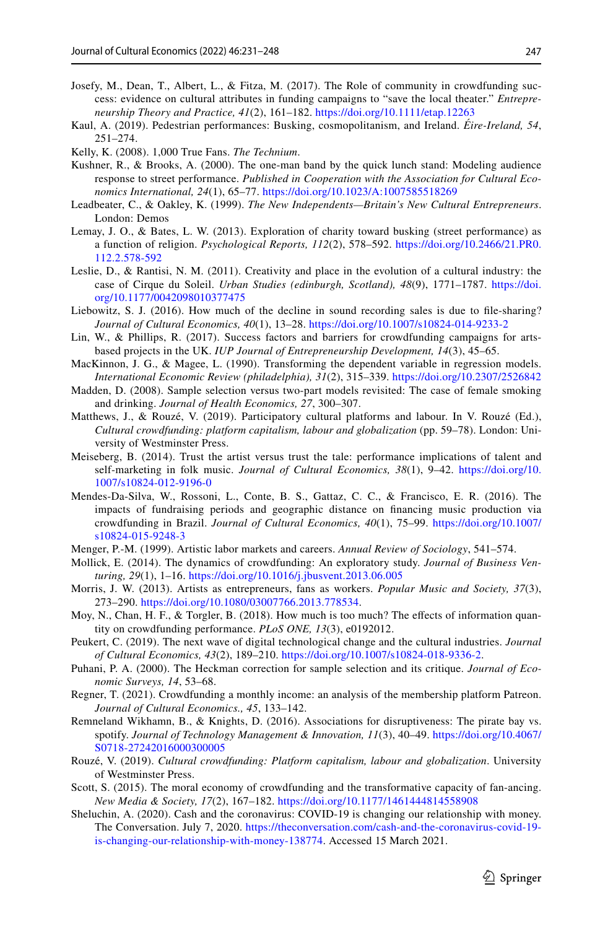- <span id="page-16-20"></span>Josefy, M., Dean, T., Albert, L., & Fitza, M. (2017). The Role of community in crowdfunding success: evidence on cultural attributes in funding campaigns to "save the local theater." *Entrepreneurship Theory and Practice, 41*(2), 161–182.<https://doi.org/10.1111/etap.12263>
- <span id="page-16-0"></span>Kaul, A. (2019). Pedestrian performances: Busking, cosmopolitanism, and Ireland. *Éire-Ireland, 54*, 251–274.
- <span id="page-16-21"></span>Kelly, K. (2008). 1,000 True Fans. *The Technium*.
- <span id="page-16-13"></span>Kushner, R., & Brooks, A. (2000). The one-man band by the quick lunch stand: Modeling audience response to street performance. *Published in Cooperation with the Association for Cultural Economics International, 24*(1), 65–77.<https://doi.org/10.1023/A:1007585518269>
- <span id="page-16-9"></span>Leadbeater, C., & Oakley, K. (1999). *The New Independents—Britain's New Cultural Entrepreneurs*. London: Demos
- <span id="page-16-14"></span>Lemay, J. O., & Bates, L. W. (2013). Exploration of charity toward busking (street performance) as a function of religion. *Psychological Reports, 112*(2), 578–592. [https://doi.org/10.2466/21.PR0.](https://doi.org/10.2466/21.PR0.112.2.578-592) [112.2.578-592](https://doi.org/10.2466/21.PR0.112.2.578-592)
- <span id="page-16-5"></span>Leslie, D., & Rantisi, N. M. (2011). Creativity and place in the evolution of a cultural industry: the case of Cirque du Soleil. *Urban Studies (edinburgh, Scotland), 48*(9), 1771–1787. [https://doi.](https://doi.org/10.1177/0042098010377475) [org/10.1177/0042098010377475](https://doi.org/10.1177/0042098010377475)
- <span id="page-16-17"></span>Liebowitz, S. J. (2016). How much of the decline in sound recording sales is due to fle-sharing? *Journal of Cultural Economics, 40*(1), 13–28. <https://doi.org/10.1007/s10824-014-9233-2>
- <span id="page-16-7"></span>Lin, W., & Phillips, R. (2017). Success factors and barriers for crowdfunding campaigns for artsbased projects in the UK. *IUP Journal of Entrepreneurship Development, 14*(3), 45–65.
- <span id="page-16-24"></span>MacKinnon, J. G., & Magee, L. (1990). Transforming the dependent variable in regression models. *International Economic Review (philadelphia), 31*(2), 315–339.<https://doi.org/10.2307/2526842>
- <span id="page-16-22"></span>Madden, D. (2008). Sample selection versus two-part models revisited: The case of female smoking and drinking. *Journal of Health Economics, 27*, 300–307.
- <span id="page-16-8"></span>Matthews, J., & Rouzé, V. (2019). Participatory cultural platforms and labour. In V. Rouzé (Ed.), *Cultural crowdfunding: platform capitalism, labour and globalization* (pp. 59–78). London: University of Westminster Press.
- <span id="page-16-15"></span>Meiseberg, B. (2014). Trust the artist versus trust the tale: performance implications of talent and self-marketing in folk music. *Journal of Cultural Economics, 38*(1), 9–42. [https://doi.org/10.](https://doi.org/10.1007/s10824-012-9196-0) [1007/s10824-012-9196-0](https://doi.org/10.1007/s10824-012-9196-0)
- <span id="page-16-1"></span>Mendes-Da-Silva, W., Rossoni, L., Conte, B. S., Gattaz, C. C., & Francisco, E. R. (2016). The impacts of fundraising periods and geographic distance on fnancing music production via crowdfunding in Brazil. *Journal of Cultural Economics, 40*(1), 75–99. [https://doi.org/10.1007/](https://doi.org/10.1007/s10824-015-9248-3) [s10824-015-9248-3](https://doi.org/10.1007/s10824-015-9248-3)
- <span id="page-16-10"></span>Menger, P.-M. (1999). Artistic labor markets and careers. *Annual Review of Sociology*, 541–574.
- <span id="page-16-2"></span>Mollick, E. (2014). The dynamics of crowdfunding: An exploratory study. *Journal of Business Venturing, 29*(1), 1–16.<https://doi.org/10.1016/j.jbusvent.2013.06.005>
- <span id="page-16-11"></span>Morris, J. W. (2013). Artists as entrepreneurs, fans as workers. *Popular Music and Society, 37*(3), 273–290. <https://doi.org/10.1080/03007766.2013.778534>.
- <span id="page-16-19"></span>Moy, N., Chan, H. F., & Torgler, B. (2018). How much is too much? The effects of information quantity on crowdfunding performance. *PLoS ONE, 13*(3), e0192012.
- <span id="page-16-4"></span>Peukert, C. (2019). The next wave of digital technological change and the cultural industries. *Journal of Cultural Economics, 43*(2), 189–210. <https://doi.org/10.1007/s10824-018-9336-2>.
- <span id="page-16-23"></span>Puhani, P. A. (2000). The Heckman correction for sample selection and its critique. *Journal of Economic Surveys, 14*, 53–68.
- <span id="page-16-3"></span>Regner, T. (2021). Crowdfunding a monthly income: an analysis of the membership platform Patreon. *Journal of Cultural Economics., 45*, 133–142.
- <span id="page-16-18"></span>Remneland Wikhamn, B., & Knights, D. (2016). Associations for disruptiveness: The pirate bay vs. spotify. *Journal of Technology Management & Innovation, 11*(3), 40–49. [https://doi.org/10.4067/](https://doi.org/10.4067/S0718-27242016000300005) [S0718-27242016000300005](https://doi.org/10.4067/S0718-27242016000300005)
- <span id="page-16-16"></span>Rouzé, V. (2019). *Cultural crowdfunding: Platform capitalism, labour and globalization*. University of Westminster Press.
- <span id="page-16-12"></span>Scott, S. (2015). The moral economy of crowdfunding and the transformative capacity of fan-ancing. *New Media & Society, 17*(2), 167–182.<https://doi.org/10.1177/1461444814558908>
- <span id="page-16-6"></span>Sheluchin, A. (2020). Cash and the coronavirus: COVID-19 is changing our relationship with money. The Conversation. July 7, 2020. [https://theconversation.com/cash-and-the-coronavirus-covid-19](https://theconversation.com/cash-and-the-coronavirus-covid-19-is-changing-our-relationship-with-money-138774) [is-changing-our-relationship-with-money-138774.](https://theconversation.com/cash-and-the-coronavirus-covid-19-is-changing-our-relationship-with-money-138774) Accessed 15 March 2021.